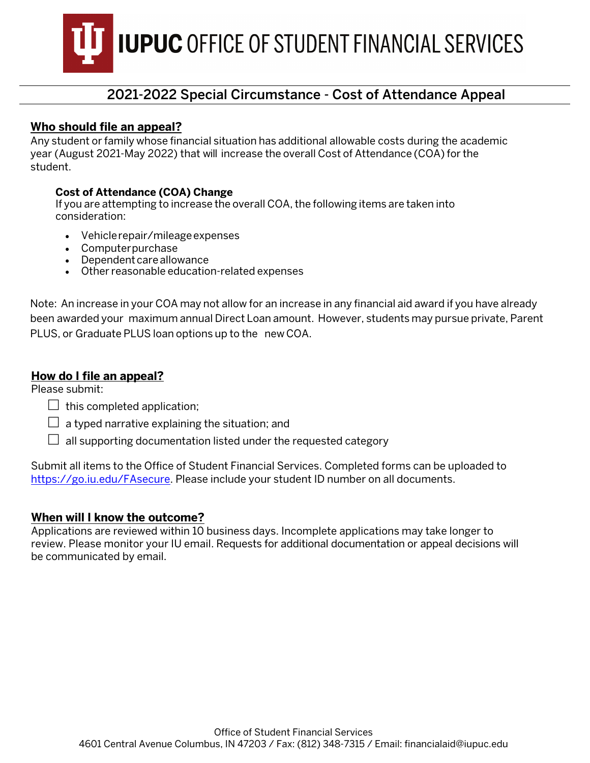**IUPUC OFFICE OF STUDENT FINANCIAL SERVICES** 

# 2021-2022 Special Circumstance - Cost of Attendance Appeal

### **Who should file an appeal?**

Any student or family whose financial situation has additional allowable costs during the academic year (August 2021-May 2022) that will increase the overall Cost of Attendance (COA) for the student.

#### **Cost of Attendance (COA) Change**

If you are attempting to increase the overall COA, the following items are taken into consideration:

- Vehicle repair/mileage expenses
- Computer purchase
- Dependent care allowance
- Other reasonable education-related expenses

Note: An increase in your COA may not allow for an increase in any financial aid award if you have already been awarded your maximum annual Direct Loan amount. However, students may pursue private, Parent PLUS, or Graduate PLUS loan options up to the new COA.

#### **How do I file an appeal?**

Please submit:

- $\Box$  this completed application;
- $\Box$  a typed narrative explaining the situation; and
- $\Box$  all supporting documentation listed under the requested category

Submit all items to the Office of Student Financial Services. Completed forms can be uploaded to [https://go.iu.edu/FAsecure.](https://go.iu.edu/fasecure) Please include your student ID number on all documents.

#### **When will I know the outcome?**

Applications are reviewed within 10 business days. Incomplete applications may take longer to review. Please monitor your IU email. Requests for additional documentation or appeal decisions will be communicated by email.